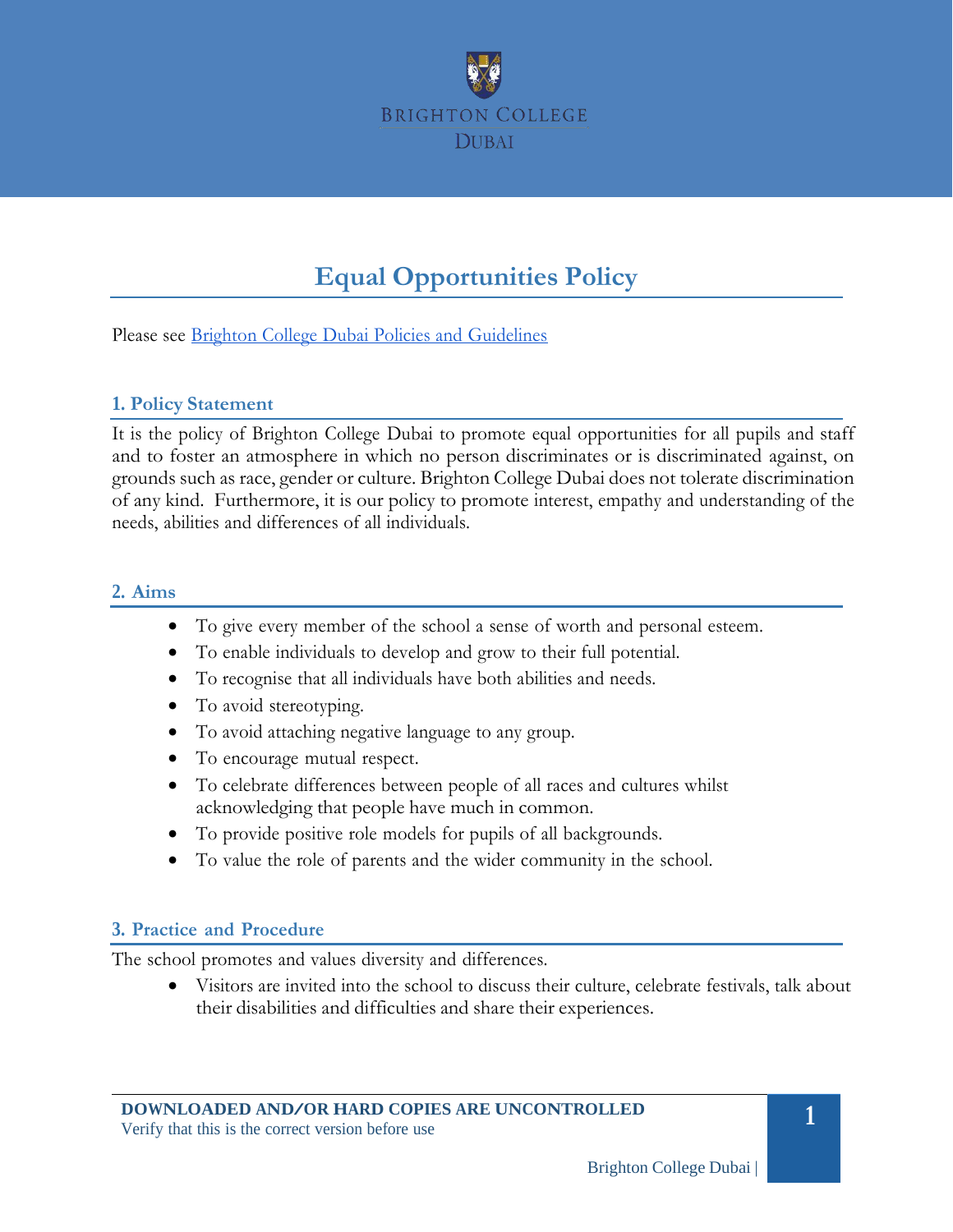

# **Equal Opportunities Policy**

Please see Brighton College Dubai Policies and [Guidelines](#page-3-0)

#### **1. Policy Statement**

It is the policy of Brighton College Dubai to promote equal opportunities for all pupils and staff and to foster an atmosphere in which no person discriminates or is discriminated against, on grounds such as race, gender or culture. Brighton College Dubai does not tolerate discrimination of any kind. Furthermore, it is our policy to promote interest, empathy and understanding of the needs, abilities and differences of all individuals.

#### **2. Aims**

- To give every member of the school a sense of worth and personal esteem.
- To enable individuals to develop and grow to their full potential.
- To recognise that all individuals have both abilities and needs.
- To avoid stereotyping.
- To avoid attaching negative language to any group.
- To encourage mutual respect.
- To celebrate differences between people of all races and cultures whilst acknowledging that people have much in common.
- To provide positive role models for pupils of all backgrounds.
- To value the role of parents and the wider community in the school.

#### **3. Practice and Procedure**

The school promotes and values diversity and differences.

• Visitors are invited into the school to discuss their culture, celebrate festivals, talk about their disabilities and difficulties and share their experiences.

**1**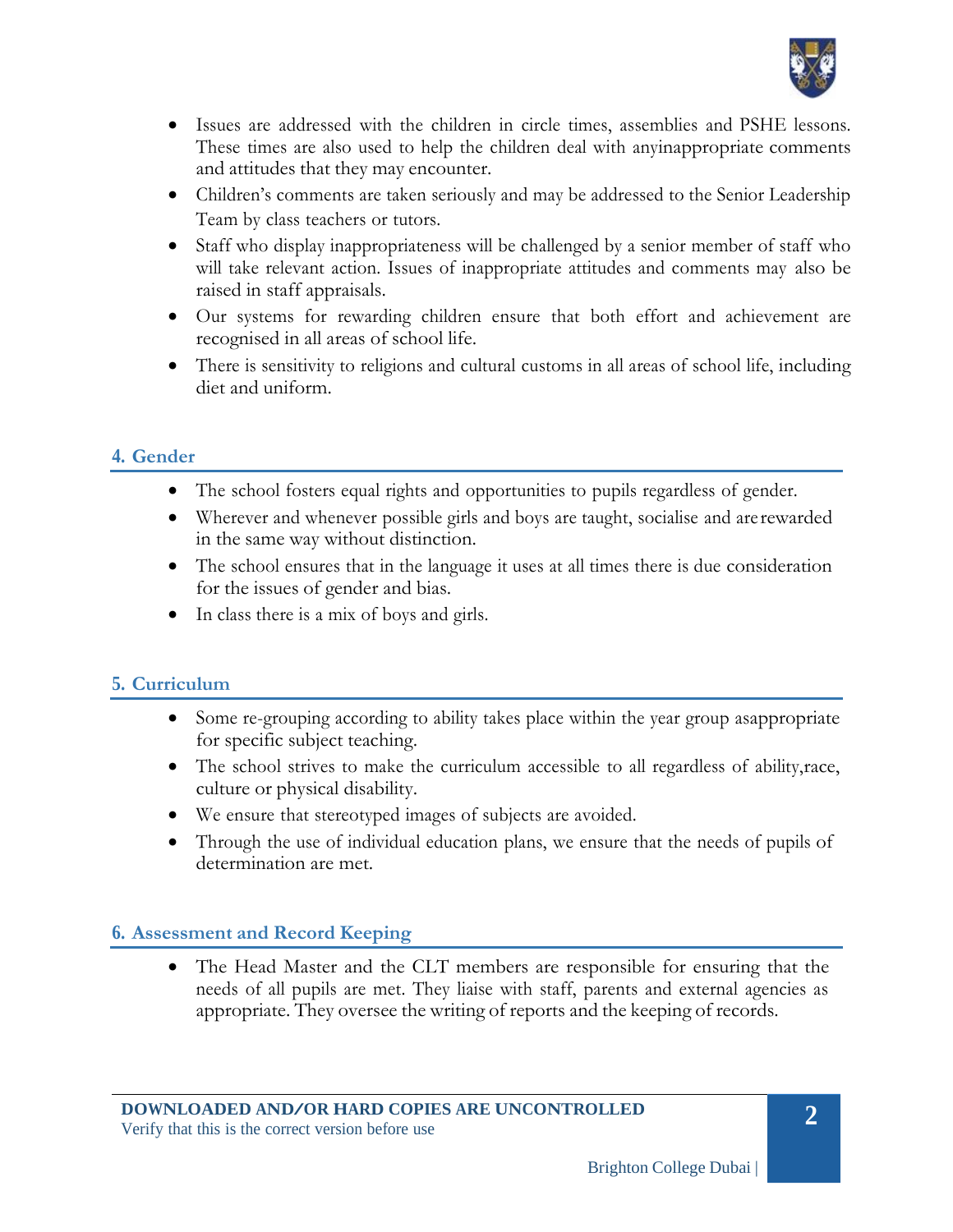

- Issues are addressed with the children in circle times, assemblies and PSHE lessons. These times are also used to help the children deal with anyinappropriate comments and attitudes that they may encounter.
- Children's comments are taken seriously and may be addressed to the Senior Leadership Team by class teachers or tutors.
- Staff who display inappropriateness will be challenged by a senior member of staff who will take relevant action. Issues of inappropriate attitudes and comments may also be raised in staff appraisals.
- Our systems for rewarding children ensure that both effort and achievement are recognised in all areas of school life.
- There is sensitivity to religions and cultural customs in all areas of school life, including diet and uniform.

## **4. Gender**

- The school fosters equal rights and opportunities to pupils regardless of gender.
- Wherever and whenever possible girls and boys are taught, socialise and are rewarded in the same way without distinction.
- The school ensures that in the language it uses at all times there is due consideration for the issues of gender and bias.
- In class there is a mix of boys and girls.

## **5. Curriculum**

- Some re-grouping according to ability takes place within the year group asappropriate for specific subject teaching.
- The school strives to make the curriculum accessible to all regardless of ability, race, culture or physical disability.
- We ensure that stereotyped images of subjects are avoided.
- Through the use of individual education plans, we ensure that the needs of pupils of determination are met.

## **6. Assessment and Record Keeping**

The Head Master and the CLT members are responsible for ensuring that the needs of all pupils are met. They liaise with staff, parents and external agencies as appropriate. They oversee the writing of reports and the keeping of records.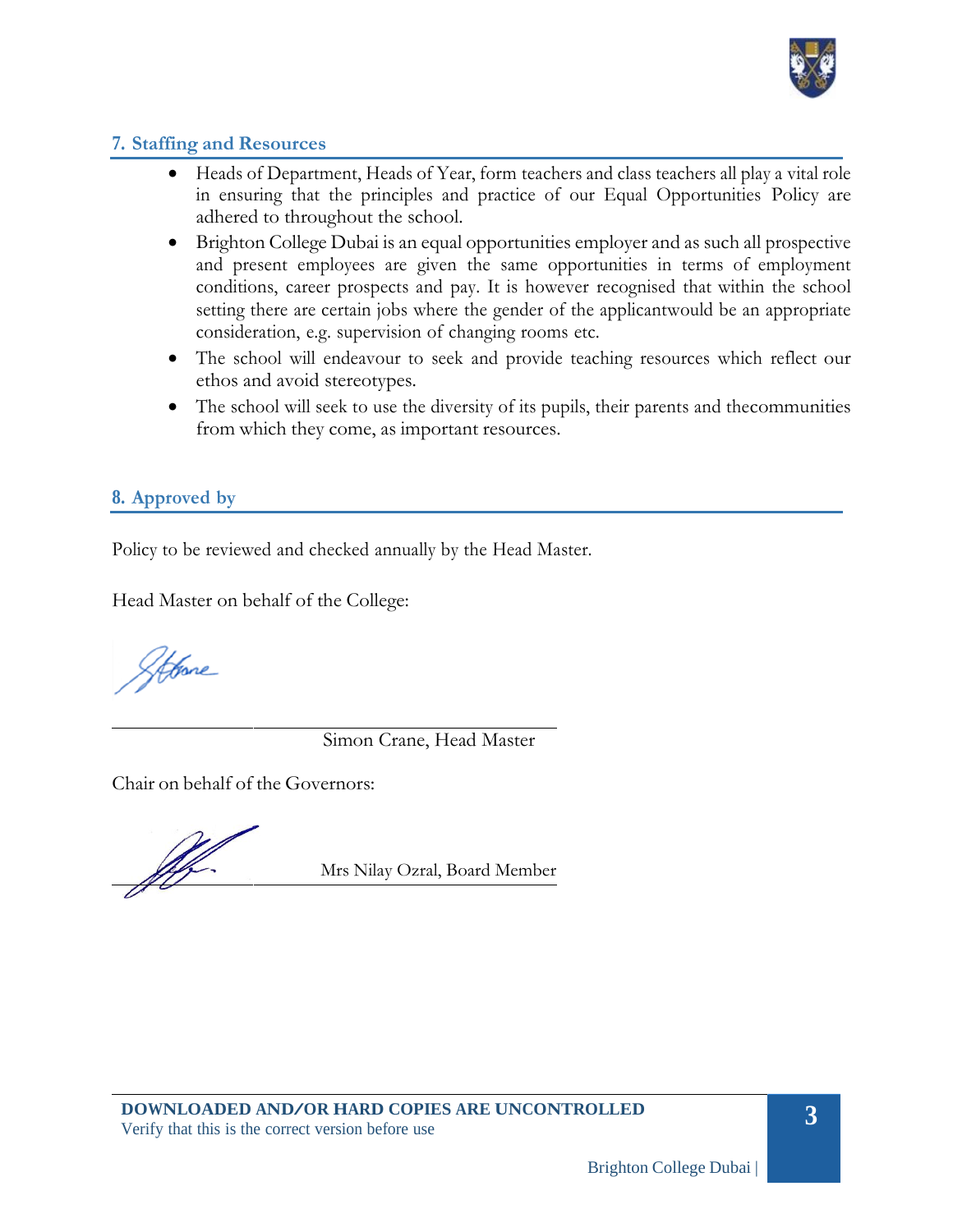

### **7. Staffing and Resources**

- Heads of Department, Heads of Year, form teachers and class teachers all play a vital role in ensuring that the principles and practice of our Equal Opportunities Policy are adhered to throughout the school.
- Brighton College Dubai is an equal opportunities employer and as such all prospective and present employees are given the same opportunities in terms of employment conditions, career prospects and pay. It is however recognised that within the school setting there are certain jobs where the gender of the applicantwould be an appropriate consideration, e.g. supervision of changing rooms etc.
- The school will endeavour to seek and provide teaching resources which reflect our ethos and avoid stereotypes.
- The school will seek to use the diversity of its pupils, their parents and the communities from which they come, as important resources.

### **8. Approved by**

Policy to be reviewed and checked annually by the Head Master.

Head Master on behalf of the College:

Atone

Simon Crane, Head Master

Chair on behalf of the Governors:

Mrs Nilay Ozral, Board Member